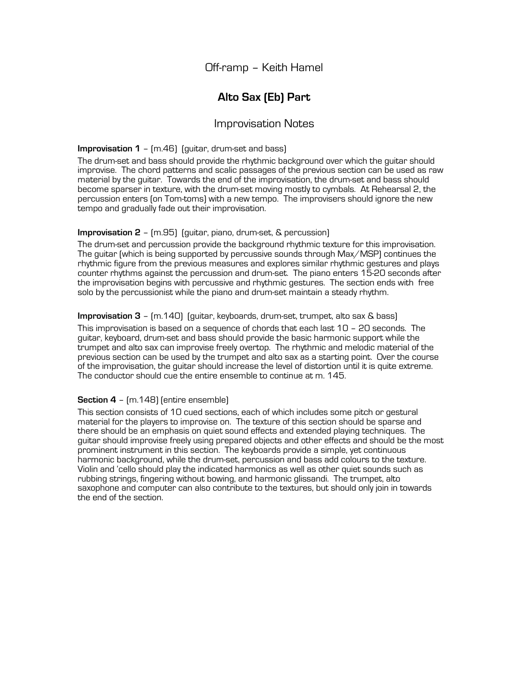Off-ramp – Keith Hamel

# **Alto Sax (Eb) Part**

# Improvisation Notes

#### **Improvisation 1** – (m.46) (guitar, drum-set and bass)

The drum-set and bass should provide the rhythmic background over which the guitar should improvise. The chord patterns and scalic passages of the previous section can be used as raw material by the guitar. Towards the end of the improvisation, the drum-set and bass should become sparser in texture, with the drum-set moving mostly to cymbals. At Rehearsal 2, the percussion enters (on Tom-toms) with a new tempo. The improvisers should ignore the new tempo and gradually fade out their improvisation.

## **Improvisation 2** – (m.95) (guitar, piano, drum-set, & percussion)

The drum-set and percussion provide the background rhythmic texture for this improvisation. The guitar (which is being supported by percussive sounds through Max/MSP) continues the rhythmic figure from the previous measures and explores similar rhythmic gestures and plays counter rhythms against the percussion and drum-set. The piano enters 15-20 seconds after the improvisation begins with percussive and rhythmic gestures. The section ends with free solo by the percussionist while the piano and drum-set maintain a steady rhythm.

### **Improvisation 3** – (m.140) (guitar, keyboards, drum-set, trumpet, alto sax & bass)

This improvisation is based on a sequence of chords that each last 10 – 20 seconds. The guitar, keyboard, drum-set and bass should provide the basic harmonic support while the trumpet and alto sax can improvise freely overtop. The rhythmic and melodic material of the previous section can be used by the trumpet and alto sax as a starting point. Over the course of the improvisation, the guitar should increase the level of distortion until it is quite extreme. The conductor should cue the entire ensemble to continue at m. 145.

#### **Section 4** – (m.148) (entire ensemble)

This section consists of 10 cued sections, each of which includes some pitch or gestural material for the players to improvise on. The texture of this section should be sparse and there should be an emphasis on quiet sound effects and extended playing techniques. The guitar should improvise freely using prepared objects and other effects and should be the most prominent instrument in this section. The keyboards provide a simple, yet continuous harmonic background, while the drum-set, percussion and bass add colours to the texture. Violin and 'cello should play the indicated harmonics as well as other quiet sounds such as rubbing strings, fingering without bowing, and harmonic glissandi. The trumpet, alto saxophone and computer can also contribute to the textures, but should only join in towards the end of the section.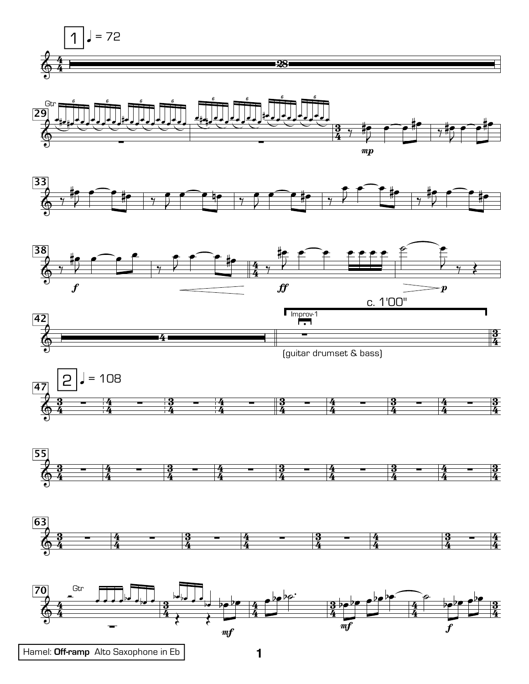



















Hamel: Off-ramp Alto Saxophone in Eb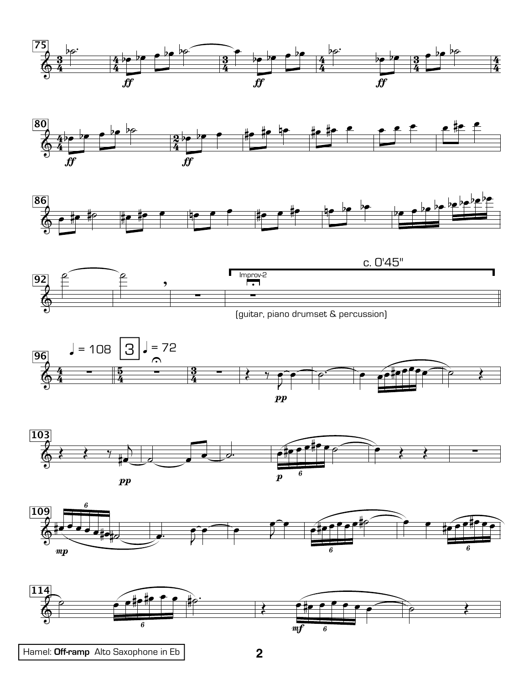













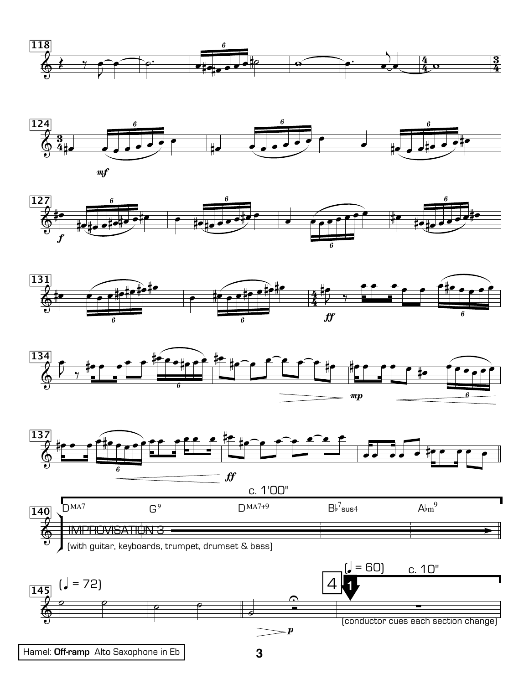











(with guitar, keyboards, trumpet, drumset & bass)



 $\mathbf{3}$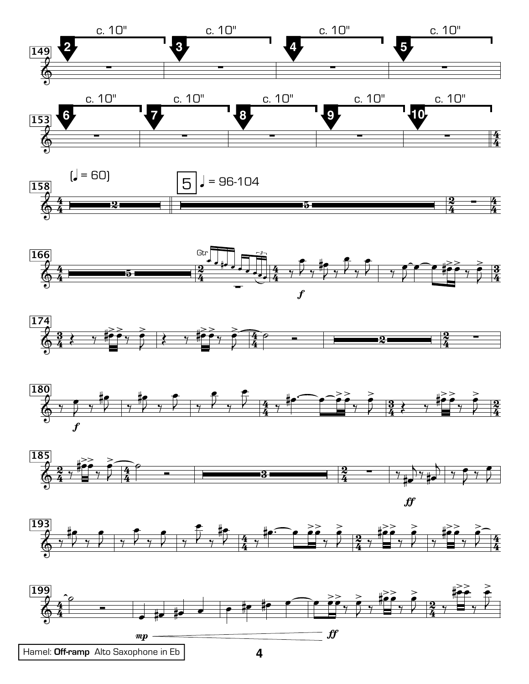











 $\mathbf{f}$